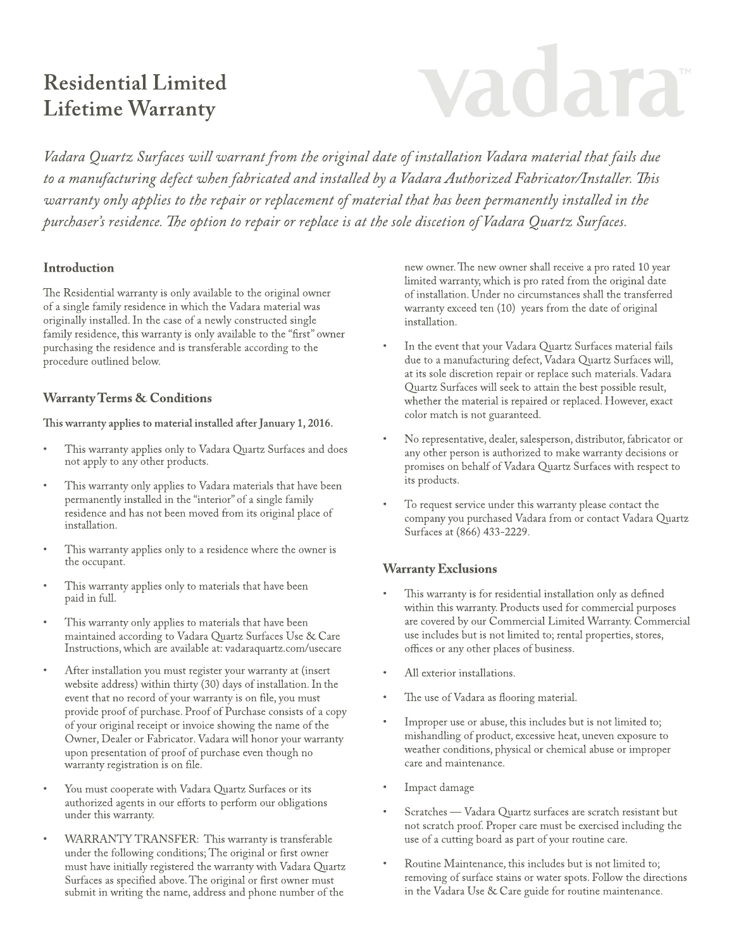# **Residential Limited Lifetime Warranty**

# vadara

Vadara Quartz Surfaces will warrant from the original date of installation Vadara material that fails due to a manufacturing defect when fabricated and installed by a Vadara Authorized Fabricator/Installer. This warranty only applies to the repair or replacement of material that has been permanently installed in the purchaser's residence. The option to repair or replace is at the sole discetion of Vadara Quartz Surfaces.

#### **Introduction**

The Residential warranty is only available to the original owner of a single family residence in which the Vadara material was originally installed. In the case of a newly constructed single family residence, this warranty is only available to the "first" owner purchasing the residence and is transferable according to the procedure outlined below.

## **Warranty Terms & Conditions**

This warranty applies to material installed after January 1, 2016.

- This warranty applies only to Vadara Quartz Surfaces and does not apply to any other products.
- This warranty only applies to Vadara materials that have been permanently installed in the "interior" of a single family residence and has not been moved from its original place of installation.
- This warranty applies only to a residence where the owner is the occupant.
- This warranty applies only to materials that have been paid in full.
- This warranty only applies to materials that have been maintained according to Vadara Quartz Surfaces Use & Care Instructions, which are available at: vadaraquartz.com/usecare
- After installation you must register your warranty at (insert website address) within thirty (30) days of installation. In the event that no record of your warranty is on file, you must provide proof of purchase. Proof of Purchase consists of a copy of your original receipt or invoice showing the name of the Owner, Dealer or Fabricator. Vadara will honor your warranty upon presentation of proof of purchase even though no warranty registration is on file.
- You must cooperate with Vadara Quartz Surfaces or its authorized agents in our efforts to perform our obligations under this warranty.
- WARRANTY TRANSFER: This warranty is transferable under the following conditions; The original or first owner must have initially registered the warranty with Vadara Quartz Surfaces as specified above. The original or first owner must submit in writing the name, address and phone number of the

new owner. The new owner shall receive a pro rated 10 year limited warranty, which is pro rated from the original date of installation. Under no circumstances shall the transferred warranty exceed ten (10) years from the date of original installation.

- In the event that your Vadara Quartz Surfaces material fails due to a manufacturing defect, Vadara Quartz Surfaces will, at its sole discretion repair or replace such materials. Vadara Quartz Surfaces will seek to attain the best possible result, whether the material is repaired or replaced. However, exact color match is not guaranteed.
- No representative, dealer, salesperson, distributor, fabricator or any other person is authorized to make warranty decisions or promises on behalf of Vadara Quartz Surfaces with respect to its products.
- To request service under this warranty please contact the company you purchased Vadara from or contact Vadara Quartz Surfaces at (866) 433-2229.

## **Warranty Exclusions**

- This warranty is for residential installation only as defined within this warranty. Products used for commercial purposes are covered by our Commercial Limited Warranty. Commercial use includes but is not limited to; rental properties, stores, offices or any other places of business.
- All exterior installations.
- The use of Vadara as flooring material.
- Improper use or abuse, this includes but is not limited to; mishandling of product, excessive heat, uneven exposure to weather conditions, physical or chemical abuse or improper care and maintenance.
- Impact damage
- Scratches Vadara Quartz surfaces are scratch resistant but not scratch proof. Proper care must be exercised including the use of a cutting board as part of your routine care.
- Routine Maintenance, this includes but is not limited to; removing of surface stains or water spots. Follow the directions in the Vadara Use & Care guide for routine maintenance.